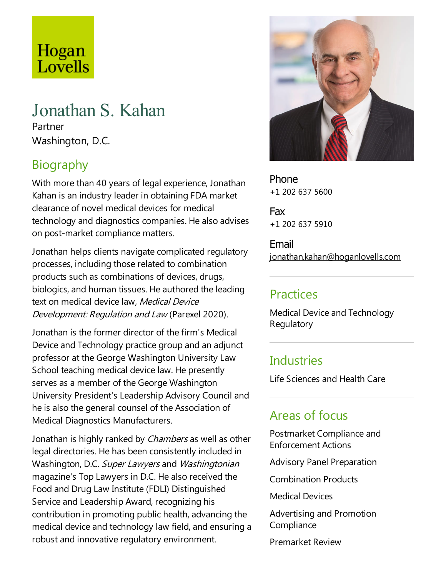# Hogan Lovells

## Jonathan S. Kahan

Partner Washington, D.C.

## Biography

With more than 40 years of legal experience, Jonathan Kahan is an industry leader in obtaining FDA market clearance of novel medical devices for medical technology and diagnostics companies. He also advises on post-market compliance matters.

Jonathan helps clients navigate complicated regulatory processes, including those related to combination products such as combinations of devices, drugs, biologics, and human tissues. He authored the leading text on medical device law, Medical Device Development: Regulation and Law (Parexel 2020).

Jonathan is the former director of the firm's Medical Device and Technology practice group and an adjunct professor at the George Washington University Law School teaching medical device law. He presently serves as a member of the George Washington University President's Leadership Advisory Council and he is also the general counsel of the Association of Medical Diagnostics Manufacturers.

Jonathan is highly ranked by *Chambers* as well as other legal directories. He has been consistently included in Washington, D.C. Super Lawyers and Washingtonian magazine's Top Lawyers in D.C. He also received the Food and Drug Law Institute(FDLI) Distinguished Service and Leadership Award, recognizing his contribution in promoting public health, advancing the medical device and technology law field, and ensuring a robust and innovative regulatory environment.



Phone +1 202 637 5600

Fax +1 202 637 5910

Email jonathan.kahan@hoganlovells.com

#### Practices

Medical Device and Technology Regulatory

#### **Industries**

Life Sciences and Health Care

## Areas of focus

Postmarket Compliance and Enforcement Actions

Advisory Panel Preparation

Combination Products

Medical Devices

Advertising and Promotion **Compliance** 

Premarket Review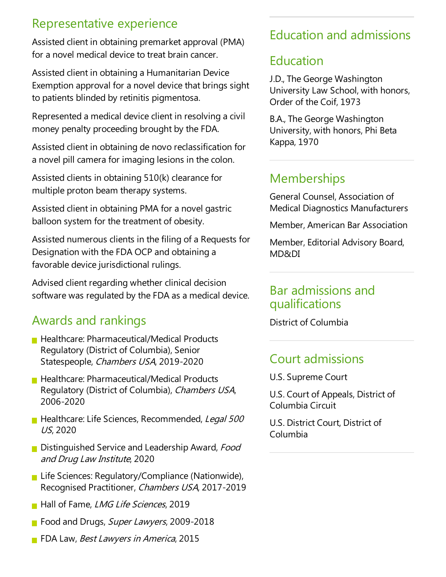#### Representative experience

Assisted client in obtaining premarket approval (PMA) for a novel medical device to treat brain cancer.

Assisted client in obtaining a Humanitarian Device Exemption approval for a novel device that brings sight to patients blinded by retinitis pigmentosa.

Represented a medical device client in resolving a civil money penalty proceeding brought by the FDA.

Assisted client in obtaining de novo reclassification for a novel pill camera for imaging lesions in the colon.

Assisted clients in obtaining  $510(k)$  clearance for multiple proton beam therapy systems.

Assisted client in obtaining PMA for a novel gastric balloon system for the treatment of obesity.

Assisted numerous clients in the filing of a Requests for Designation with the FDA OCP and obtaining a favorable device jurisdictional rulings.

Advised client regarding whether clinical decision software was regulated by the FDA as a medical device.

## Awards and rankings

- **Healthcare: Pharmaceutical/Medical Products** Regulatory (District of Columbia), Senior Statespeople, Chambers USA, 2019-2020
- **Healthcare: Pharmaceutical/Medical Products** Regulatory (District of Columbia), Chambers USA, 2006-2020
- **Healthcare: Life Sciences, Recommended, Legal 500** US, 2020
- Distinguished Service and Leadership Award, Food and Drug Law Institute, 2020
- **Life Sciences: Regulatory/Compliance (Nationwide),** Recognised Practitioner, Chambers USA, 2017-2019
- Hall of Fame, LMG Life Sciences, 2019
- Food and Drugs, Super Lawyers, 2009-2018
- **FIDA Law, Best Lawyers in America, 2015**

## Education and admissions

### Education

J.D., The George Washington University Law School, with honors, Order of the Coif, 1973

B.A.,The George Washington University, with honors, Phi Beta Kappa, 1970

## **Memberships**

General Counsel, Association of Medical Diagnostics Manufacturers

Member, American Bar Association

Member, Editorial Advisory Board, MD&DI

#### Bar admissions and qualifications

District of Columbia

#### **Court admissions**

U.S. Supreme Court

U.S. Court of Appeals, District of Columbia Circuit

U.S. District Court, District of Columbia